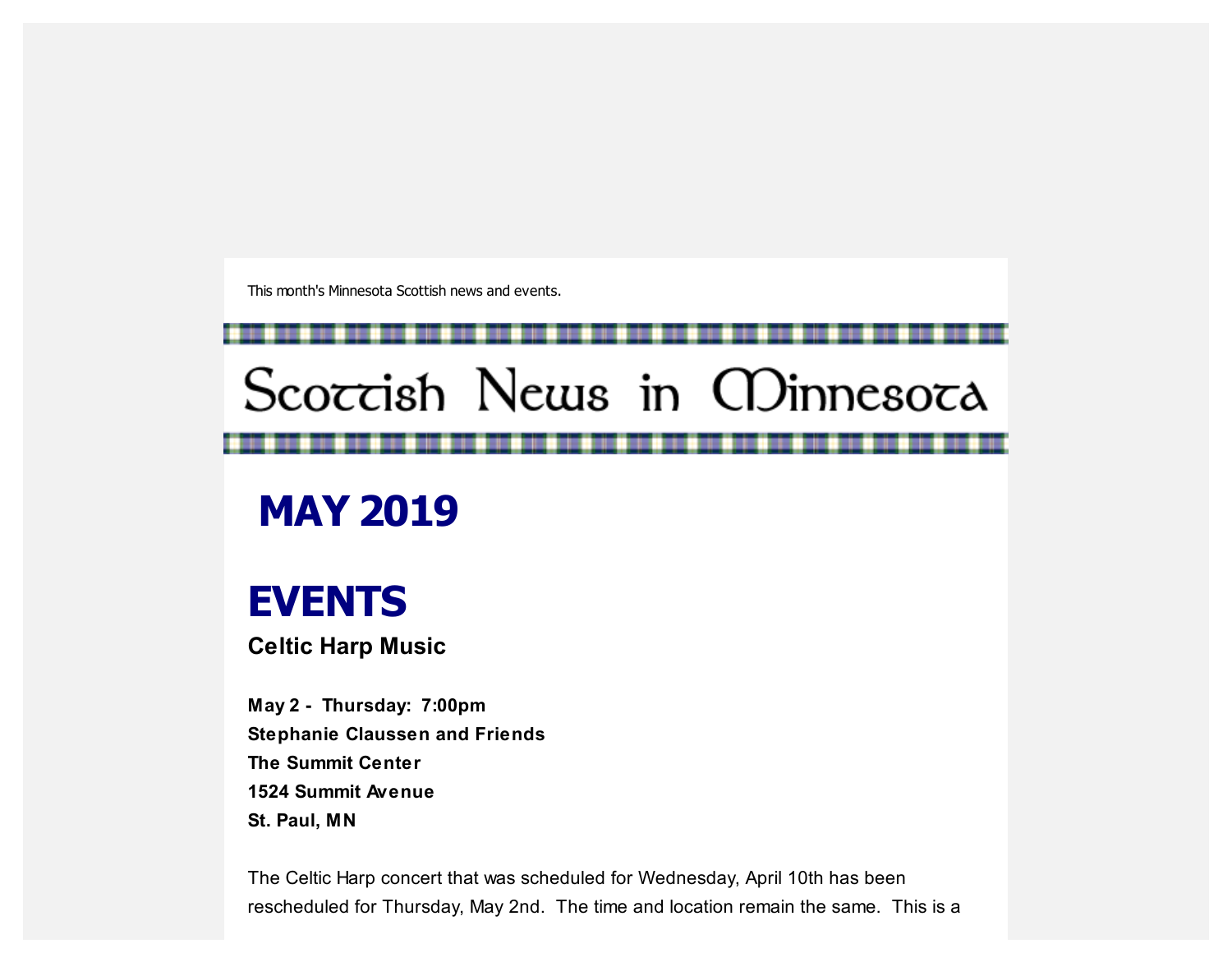This month's Minnesota Scottish news and events.

# Scoccish News in CDinnesoca

## **MAY 2019**

## **EVENTS**

**Celtic Harp Music**

**May 2 - Thursday: 7:00pm Stephanie Claussen and Friends The Summit Center 1524 Summit Avenue St. Paul, MN**

The Celtic Harp concert that was scheduled for Wednesday, April 10th has been rescheduled for Thursday, May 2nd. The time and location remain the same. This is a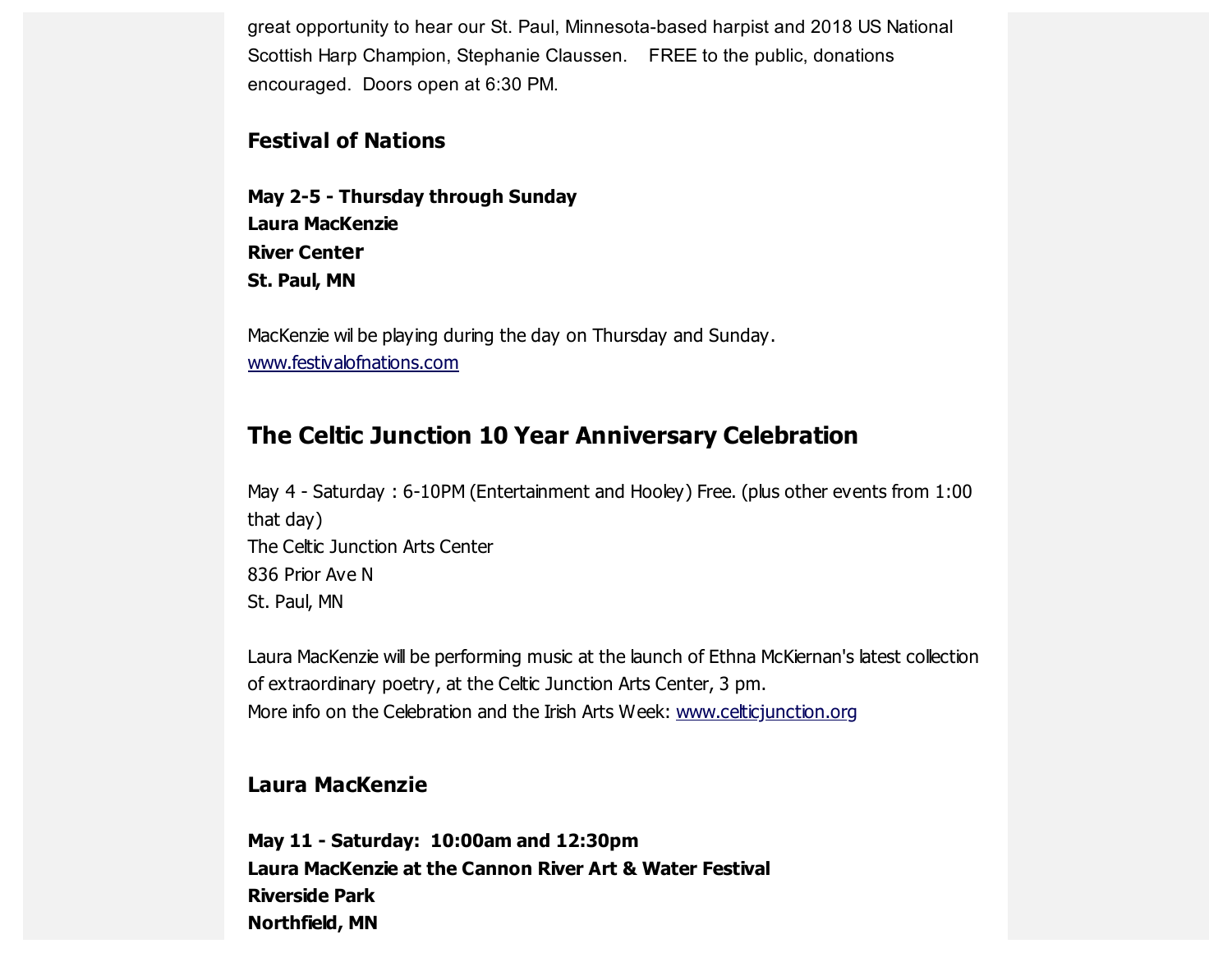great opportunity to hear our St. Paul, Minnesota-based harpist and 2018 US National Scottish Harp Champion, Stephanie Claussen. FREE to the public, donations encouraged. Doors open at 6:30 PM.

#### **Festival of Nations**

**May 2-5 - Thursday through Sunday Laura MacKenzie River Center St. Paul, MN**

MacKenzie wil be playing during the day on Thursday and Sunday. [www.festivalofnations.com](https://scottishamericancentermn.us10.list-manage.com/track/click?u=2fe4099001736ac4b948473e4&id=8bf1ebf442&e=6b0ba04b53)

#### **The Celtic Junction 10 Year Anniversary Celebration**

May 4 - Saturday : 6-10PM (Entertainment and Hooley) Free. (plus other events from 1:00 that day) The Celtic Junction Arts Center 836 Prior Ave N St. Paul, MN

Laura MacKenzie will be performing music at the launch of Ethna McKiernan's latest collection of extraordinary poetry, at the Celtic Junction Arts Center, 3 pm. More info on the Celebration and the Irish Arts Week: [www.celticjunction.org](https://scottishamericancentermn.us10.list-manage.com/track/click?u=2fe4099001736ac4b948473e4&id=3875b15cf8&e=6b0ba04b53)

#### **Laura MacKenzie**

**May 11 - Saturday: 10:00am and 12:30pm Laura MacKenzie at the Cannon River Art & Water Festival Riverside Park Northfield, MN**